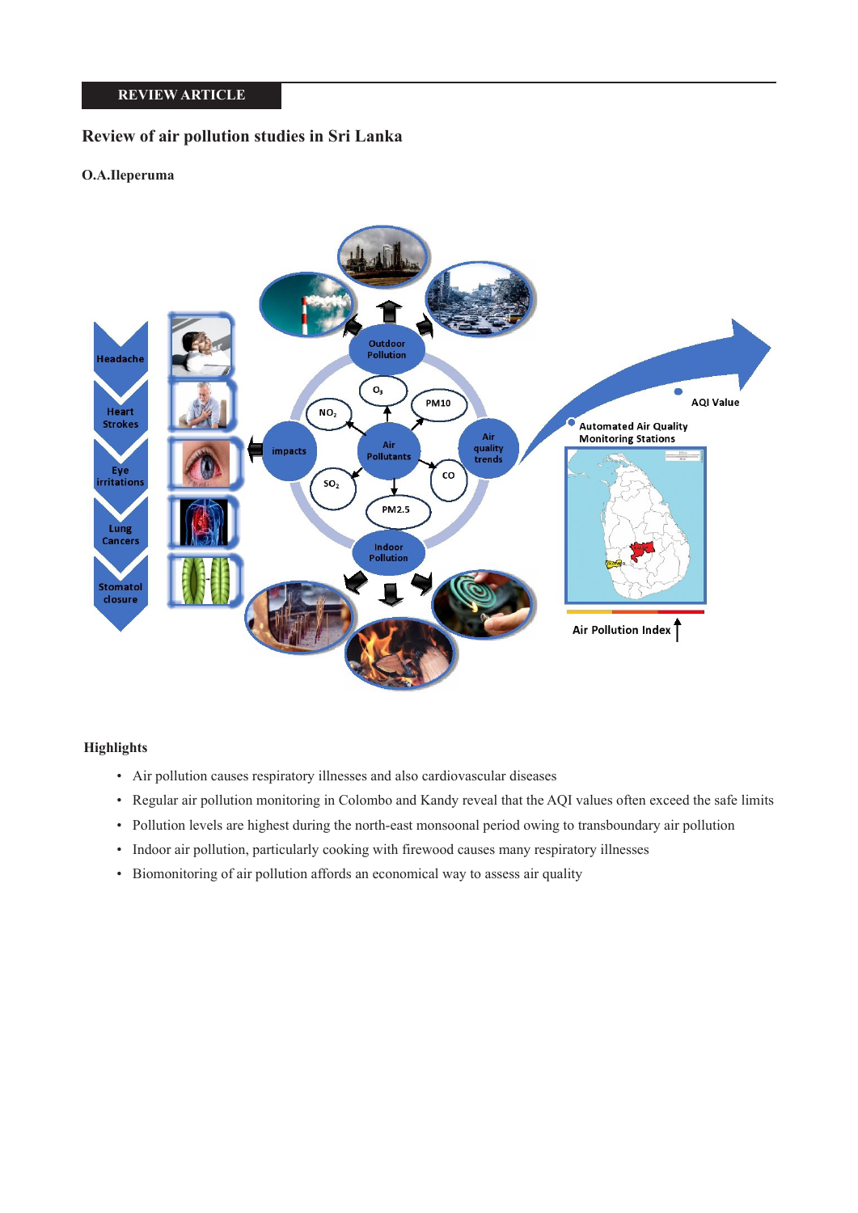# **REVIEW ARTICLE**

# **Review of air pollution studies in Sri Lanka**

## **O.A.Ileperuma**



## **Highlights**

- Air pollution causes respiratory illnesses and also cardiovascular diseases
- Regular air pollution monitoring in Colombo and Kandy reveal that the AQI values often exceed the safe limits
- Pollution levels are highest during the north-east monsoonal period owing to transboundary air pollution
- Indoor air pollution, particularly cooking with firewood causes many respiratory illnesses
- Biomonitoring of air pollution affords an economical way to assess air quality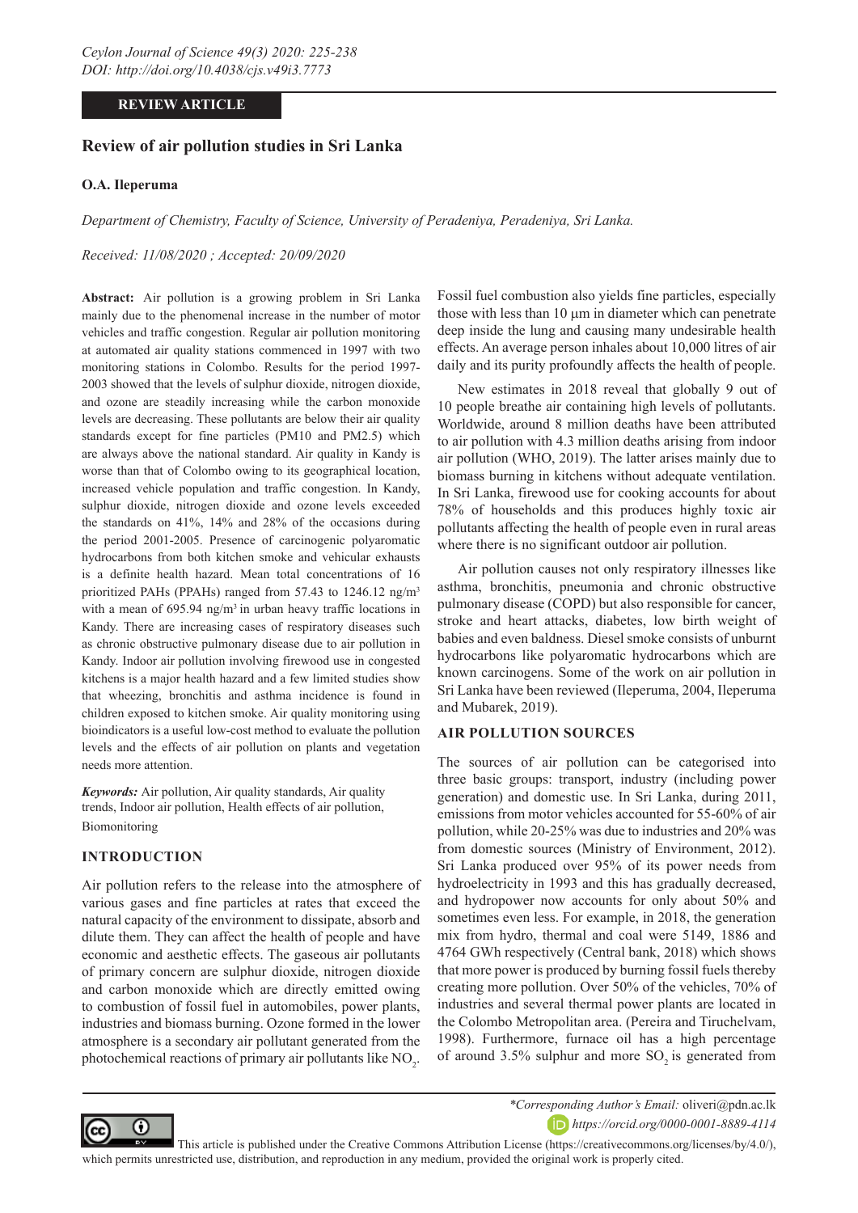## **REVIEW ARTICLE**

## **Review of air pollution studies in Sri Lanka**

#### **O.A. Ileperuma**

*Department of Chemistry, Faculty of Science, University of Peradeniya, Peradeniya, Sri Lanka.*

*Received: 11/08/2020 ; Accepted: 20/09/2020*

**Abstract:** Air pollution is a growing problem in Sri Lanka mainly due to the phenomenal increase in the number of motor vehicles and traffic congestion. Regular air pollution monitoring at automated air quality stations commenced in 1997 with two monitoring stations in Colombo. Results for the period 1997- 2003 showed that the levels of sulphur dioxide, nitrogen dioxide, and ozone are steadily increasing while the carbon monoxide levels are decreasing. These pollutants are below their air quality standards except for fine particles (PM10 and PM2.5) which are always above the national standard. Air quality in Kandy is worse than that of Colombo owing to its geographical location, increased vehicle population and traffic congestion. In Kandy, sulphur dioxide, nitrogen dioxide and ozone levels exceeded the standards on 41%, 14% and 28% of the occasions during the period 2001-2005. Presence of carcinogenic polyaromatic hydrocarbons from both kitchen smoke and vehicular exhausts is a definite health hazard. Mean total concentrations of 16 prioritized PAHs (PPAHs) ranged from 57.43 to 1246.12 ng/m3 with a mean of 695.94 ng/m<sup>3</sup> in urban heavy traffic locations in Kandy. There are increasing cases of respiratory diseases such as chronic obstructive pulmonary disease due to air pollution in Kandy. Indoor air pollution involving firewood use in congested kitchens is a major health hazard and a few limited studies show that wheezing, bronchitis and asthma incidence is found in children exposed to kitchen smoke. Air quality monitoring using bioindicators is a useful low-cost method to evaluate the pollution levels and the effects of air pollution on plants and vegetation needs more attention.

*Keywords:* Air pollution, Air quality standards, Air quality trends, Indoor air pollution, Health effects of air pollution, Biomonitoring

#### **INTRODUCTION**

Air pollution refers to the release into the atmosphere of various gases and fine particles at rates that exceed the natural capacity of the environment to dissipate, absorb and dilute them. They can affect the health of people and have economic and aesthetic effects. The gaseous air pollutants of primary concern are sulphur dioxide, nitrogen dioxide and carbon monoxide which are directly emitted owing to combustion of fossil fuel in automobiles, power plants, industries and biomass burning. Ozone formed in the lower atmosphere is a secondary air pollutant generated from the photochemical reactions of primary air pollutants like  $NO<sub>2</sub>$ . Fossil fuel combustion also yields fine particles, especially those with less than 10  $\mu$ m in diameter which can penetrate deep inside the lung and causing many undesirable health effects. An average person inhales about 10,000 litres of air daily and its purity profoundly affects the health of people.

New estimates in 2018 reveal that globally 9 out of 10 people breathe air containing high levels of pollutants. Worldwide, around 8 million deaths have been attributed to air pollution with 4.3 million deaths arising from indoor air pollution (WHO, 2019). The latter arises mainly due to biomass burning in kitchens without adequate ventilation. In Sri Lanka, firewood use for cooking accounts for about 78% of households and this produces highly toxic air pollutants affecting the health of people even in rural areas where there is no significant outdoor air pollution.

Air pollution causes not only respiratory illnesses like asthma, bronchitis, pneumonia and chronic obstructive pulmonary disease (COPD) but also responsible for cancer, stroke and heart attacks, diabetes, low birth weight of babies and even baldness. Diesel smoke consists of unburnt hydrocarbons like polyaromatic hydrocarbons which are known carcinogens. Some of the work on air pollution in Sri Lanka have been reviewed (Ileperuma, 2004, Ileperuma and Mubarek, 2019).

## **AIR POLLUTION SOURCES**

The sources of air pollution can be categorised into three basic groups: transport, industry (including power generation) and domestic use. In Sri Lanka, during 2011, emissions from motor vehicles accounted for 55-60% of air pollution, while 20-25% was due to industries and 20% was from domestic sources (Ministry of Environment, 2012). Sri Lanka produced over 95% of its power needs from hydroelectricity in 1993 and this has gradually decreased, and hydropower now accounts for only about 50% and sometimes even less. For example, in 2018, the generation mix from hydro, thermal and coal were 5149, 1886 and 4764 GWh respectively (Central bank, 2018) which shows that more power is produced by burning fossil fuels thereby creating more pollution. Over 50% of the vehicles, 70% of industries and several thermal power plants are located in the Colombo Metropolitan area. (Pereira and Tiruchelvam, 1998). Furthermore, furnace oil has a high percentage of around  $3.5\%$  sulphur and more SO<sub>2</sub> is generated from



*\*Corresponding Author's Email:* oliveri@pdn.ac.lk

*https://orcid.org/0000-0001-8889-4114*

 This article is published under the Creative Commons Attribution License (https://creativecommons.org/licenses/by/4.0/), which permits unrestricted use, distribution, and reproduction in any medium, provided the original work is properly cited.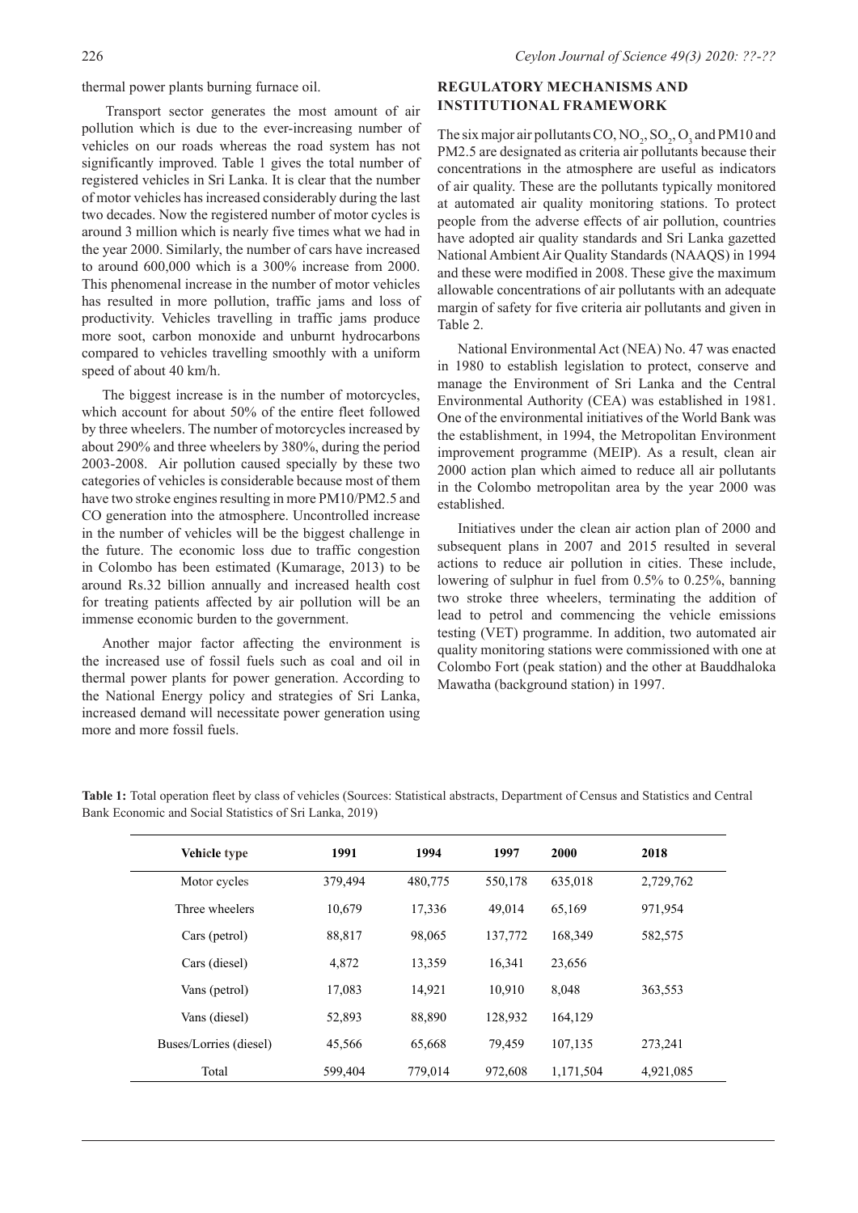thermal power plants burning furnace oil.

Transport sector generates the most amount of air pollution which is due to the ever-increasing number of vehicles on our roads whereas the road system has not significantly improved. Table 1 gives the total number of registered vehicles in Sri Lanka. It is clear that the number of motor vehicles has increased considerably during the last two decades. Now the registered number of motor cycles is around 3 million which is nearly five times what we had in the year 2000. Similarly, the number of cars have increased to around 600,000 which is a 300% increase from 2000. This phenomenal increase in the number of motor vehicles has resulted in more pollution, traffic jams and loss of productivity. Vehicles travelling in traffic jams produce more soot, carbon monoxide and unburnt hydrocarbons compared to vehicles travelling smoothly with a uniform speed of about 40 km/h.

The biggest increase is in the number of motorcycles, which account for about 50% of the entire fleet followed by three wheelers. The number of motorcycles increased by about 290% and three wheelers by 380%, during the period 2003-2008. Air pollution caused specially by these two categories of vehicles is considerable because most of them have two stroke engines resulting in more PM10/PM2.5 and CO generation into the atmosphere. Uncontrolled increase in the number of vehicles will be the biggest challenge in the future. The economic loss due to traffic congestion in Colombo has been estimated (Kumarage, 2013) to be around Rs.32 billion annually and increased health cost for treating patients affected by air pollution will be an immense economic burden to the government.

Another major factor affecting the environment is the increased use of fossil fuels such as coal and oil in thermal power plants for power generation. According to the National Energy policy and strategies of Sri Lanka, increased demand will necessitate power generation using more and more fossil fuels.

## **REGULATORY MECHANISMS AND INSTITUTIONAL FRAMEWORK**

The six major air pollutants CO,  $NO_2$ ,  $SO_2$ ,  $O_3$  and PM10 and PM2.5 are designated as criteria air pollutants because their concentrations in the atmosphere are useful as indicators of air quality. These are the pollutants typically monitored at automated air quality monitoring stations. To protect people from the adverse effects of air pollution, countries have adopted air quality standards and Sri Lanka gazetted National Ambient Air Quality Standards (NAAQS) in 1994 and these were modified in 2008. These give the maximum allowable concentrations of air pollutants with an adequate margin of safety for five criteria air pollutants and given in Table 2.

National Environmental Act (NEA) No. 47 was enacted in 1980 to establish legislation to protect, conserve and manage the Environment of Sri Lanka and the Central Environmental Authority (CEA) was established in 1981. One of the environmental initiatives of the World Bank was the establishment, in 1994, the Metropolitan Environment improvement programme (MEIP). As a result, clean air 2000 action plan which aimed to reduce all air pollutants in the Colombo metropolitan area by the year 2000 was established.

Initiatives under the clean air action plan of 2000 and subsequent plans in 2007 and 2015 resulted in several actions to reduce air pollution in cities. These include, lowering of sulphur in fuel from 0.5% to 0.25%, banning two stroke three wheelers, terminating the addition of lead to petrol and commencing the vehicle emissions testing (VET) programme. In addition, two automated air quality monitoring stations were commissioned with one at Colombo Fort (peak station) and the other at Bauddhaloka Mawatha (background station) in 1997.

| Vehicle type           | 1991    | 1994    | 1997    | 2000      | 2018      |
|------------------------|---------|---------|---------|-----------|-----------|
| Motor cycles           | 379,494 | 480,775 | 550,178 | 635,018   | 2,729,762 |
| Three wheelers         | 10,679  | 17,336  | 49,014  | 65,169    | 971,954   |
| Cars (petrol)          | 88,817  | 98,065  | 137,772 | 168,349   | 582,575   |
| Cars (diesel)          | 4,872   | 13,359  | 16,341  | 23,656    |           |
| Vans (petrol)          | 17,083  | 14,921  | 10.910  | 8,048     | 363,553   |
| Vans (diesel)          | 52,893  | 88,890  | 128,932 | 164,129   |           |
| Buses/Lorries (diesel) | 45,566  | 65,668  | 79.459  | 107,135   | 273,241   |
| Total                  | 599,404 | 779,014 | 972,608 | 1,171,504 | 4,921,085 |

**Table 1:** Total operation fleet by class of vehicles (Sources: Statistical abstracts, Department of Census and Statistics and Central Bank Economic and Social Statistics of Sri Lanka, 2019)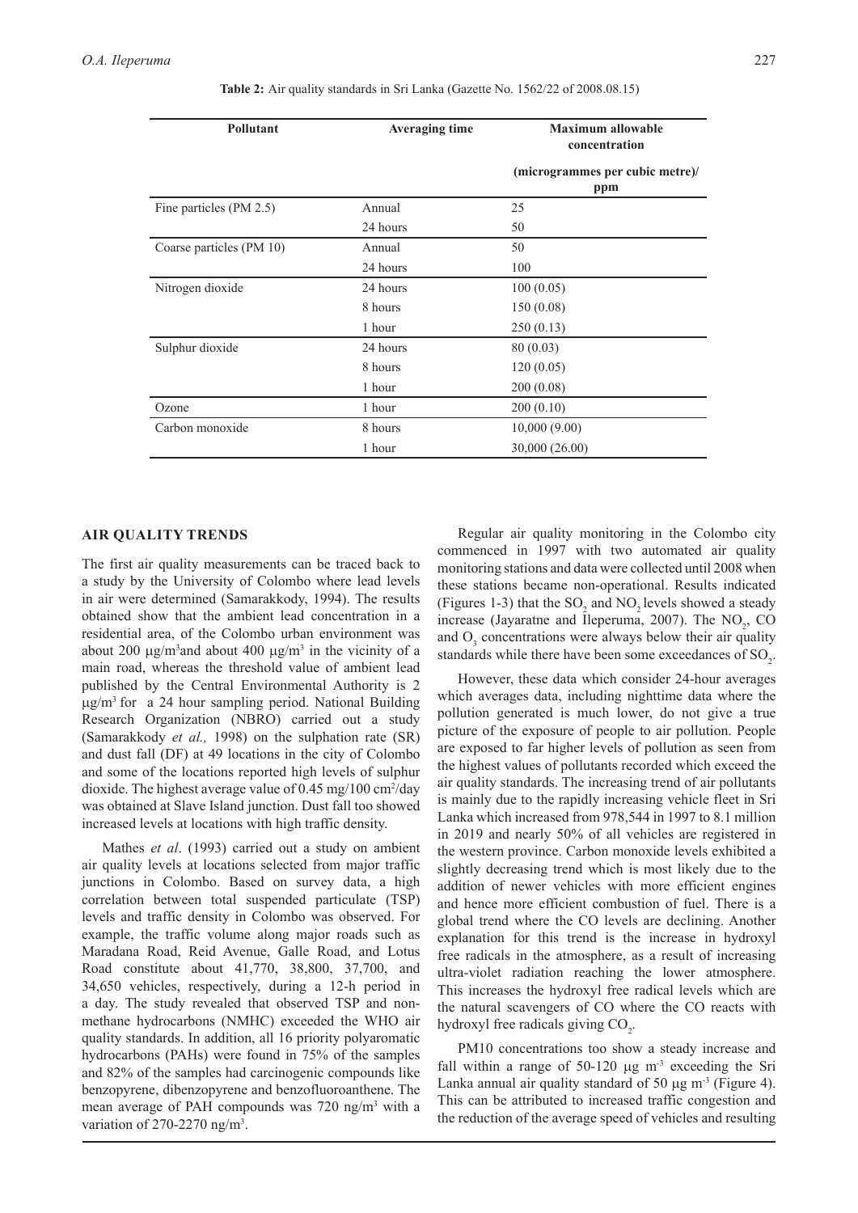| Pollutant                | <b>Averaging time</b> | <b>Maximum allowable</b><br>concentration |
|--------------------------|-----------------------|-------------------------------------------|
|                          |                       | (microgrammes per cubic metre)/<br>ppm    |
| Fine particles (PM 2.5)  | Annual                | 25                                        |
|                          | 24 hours              | 50                                        |
| Coarse particles (PM 10) | Annual                | 50                                        |
|                          | 24 hours              | 100                                       |
| Nitrogen dioxide         | 24 hours              | 100(0.05)                                 |
|                          | 8 hours               | 150(0.08)                                 |
|                          | 1 hour                | 250(0.13)                                 |
| Sulphur dioxide          | 24 hours              | 80 (0.03)                                 |
|                          | 8 hours               | 120(0.05)                                 |
|                          | 1 hour                | 200 (0.08)                                |
| Ozone                    | 1 hour                | 200(0.10)                                 |
| Carbon monoxide          | 8 hours               | 10,000(9.00)                              |
|                          | 1 hour                | 30,000 (26.00)                            |

 **Table 2:** Air quality standards in Sri Lanka (Gazette No. 1562/22 of 2008.08.15)

## **AIR QUALITY TRENDS**

The first air quality measurements can be traced back to a study by the University of Colombo where lead levels in air were determined (Samarakkody, 1994). The results obtained show that the ambient lead concentration in a residential area, of the Colombo urban environment was about 200  $\mu$ g/m<sup>3</sup> and about 400  $\mu$ g/m<sup>3</sup> in the vicinity of a main road, whereas the threshold value of ambient lead published by the Central Environmental Authority is 2  $\mu$ g/m<sup>3</sup> for a 24 hour sampling period. National Building Research Organization (NBRO) carried out a study (Samarakkody *et al.,* 1998) on the sulphation rate (SR) and dust fall (DF) at 49 locations in the city of Colombo and some of the locations reported high levels of sulphur dioxide. The highest average value of 0.45 mg/100 cm<sup>2</sup>/day was obtained at Slave Island junction. Dust fall too showed increased levels at locations with high traffic density.

Mathes *et al*. (1993) carried out a study on ambient air quality levels at locations selected from major traffic junctions in Colombo. Based on survey data, a high correlation between total suspended particulate (TSP) levels and traffic density in Colombo was observed. For example, the traffic volume along major roads such as Maradana Road, Reid Avenue, Galle Road, and Lotus Road constitute about 41,770, 38,800, 37,700, and 34,650 vehicles, respectively, during a 12-h period in a day. The study revealed that observed TSP and nonmethane hydrocarbons (NMHC) exceeded the WHO air quality standards. In addition, all 16 priority polyaromatic hydrocarbons (PAHs) were found in 75% of the samples and 82% of the samples had carcinogenic compounds like benzopyrene, dibenzopyrene and benzofluoroanthene. The mean average of PAH compounds was 720 ng/m<sup>3</sup> with a variation of 270-2270 ng/m<sup>3</sup>.

Regular air quality monitoring in the Colombo city commenced in 1997 with two automated air quality monitoring stations and data were collected until 2008 when these stations became non-operational. Results indicated (Figures 1-3) that the  $SO_2$  and  $NO_2$  levels showed a steady increase (Jayaratne and Ileperuma, 2007). The  $NO<sub>2</sub>$ , CO and  $O_3$  concentrations were always below their air quality standards while there have been some exceedances of  $\text{SO}_2$ .

However, these data which consider 24-hour averages which averages data, including nighttime data where the pollution generated is much lower, do not give a true picture of the exposure of people to air pollution. People are exposed to far higher levels of pollution as seen from the highest values of pollutants recorded which exceed the air quality standards. The increasing trend of air pollutants is mainly due to the rapidly increasing vehicle fleet in Sri Lanka which increased from 978,544 in 1997 to 8.1 million in 2019 and nearly 50% of all vehicles are registered in the western province. Carbon monoxide levels exhibited a slightly decreasing trend which is most likely due to the addition of newer vehicles with more efficient engines and hence more efficient combustion of fuel. There is a global trend where the CO levels are declining. Another explanation for this trend is the increase in hydroxyl free radicals in the atmosphere, as a result of increasing ultra-violet radiation reaching the lower atmosphere. This increases the hydroxyl free radical levels which are the natural scavengers of CO where the CO reacts with hydroxyl free radicals giving  $CO<sub>2</sub>$ .

PM10 concentrations too show a steady increase and fall within a range of  $50-120 \mu g$  m<sup>-3</sup> exceeding the Sri Lanka annual air quality standard of 50  $\mu$ g m<sup>-3</sup> (Figure 4). This can be attributed to increased traffic congestion and the reduction of the average speed of vehicles and resulting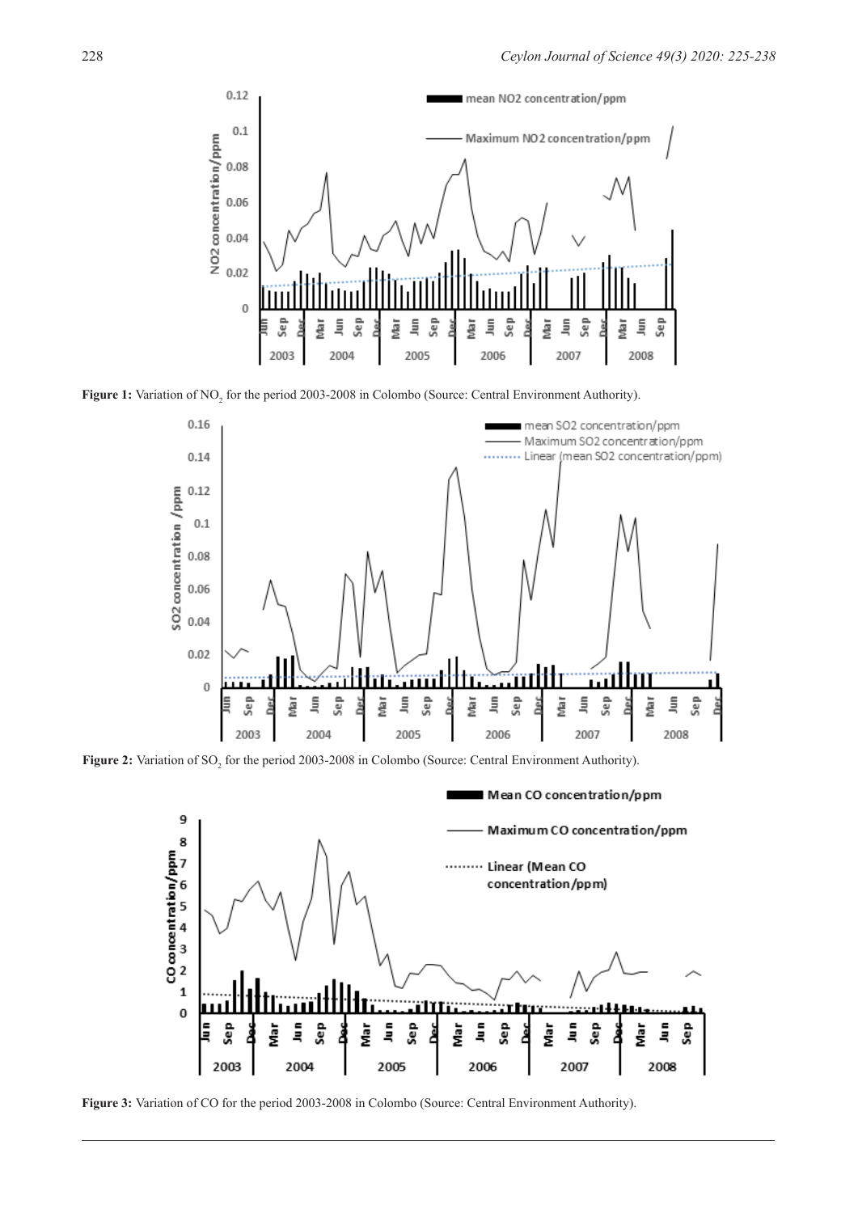

Figure 1: Variation of NO<sub>2</sub> for the period 2003-2008 in Colombo (Source: Central Environment Authority).



**Figure 2:** Variation of SO<sub>2</sub> for the period 2003-2008 in Colombo (Source: Central Environment Authority).



**Figure 3:** Variation of CO for the period 2003-2008 in Colombo (Source: Central Environment Authority).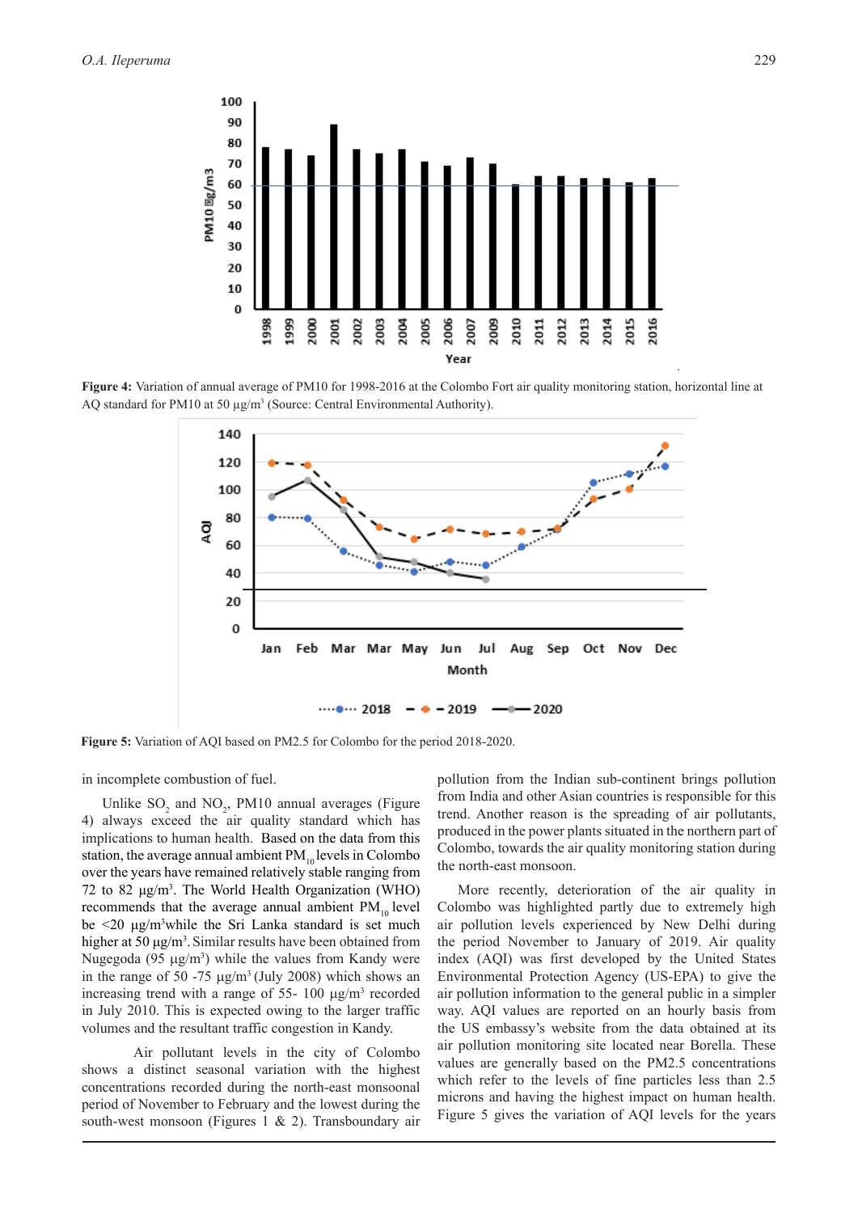

**Figure 4:** Variation of annual average of PM10 for 1998-2016 at the Colombo Fort air quality monitoring station, horizontal line at AQ standard for PM10 at 50 µg/m<sup>3</sup> (Source: Central Environmental Authority).



**Figure 5:** Variation of AQI based on PM2.5 for Colombo for the period 2018-2020.

in incomplete combustion of fuel.

Unlike  $SO_2$  and  $NO_2$ , PM10 annual averages (Figure 4) always exceed the air quality standard which has implications to human health. Based on the data from this station, the average annual ambient  $PM_{10}$  levels in Colombo over the years have remained relatively stable ranging from 72 to 82  $\mu$ g/m<sup>3</sup>. The World Health Organization (WHO) recommends that the average annual ambient  $PM_{10}$  level be <20 μg/m<sup>3</sup> while the Sri Lanka standard is set much higher at 50 μg/m<sup>3</sup>. Similar results have been obtained from Nugegoda (95  $\mu$ g/m<sup>3</sup>) while the values from Kandy were in the range of 50 -75  $\mu$ g/m<sup>3</sup> (July 2008) which shows an increasing trend with a range of 55- 100  $\mu$ g/m<sup>3</sup> recorded in July 2010. This is expected owing to the larger traffic volumes and the resultant traffic congestion in Kandy.

Air pollutant levels in the city of Colombo shows a distinct seasonal variation with the highest concentrations recorded during the north-east monsoonal period of November to February and the lowest during the south-west monsoon (Figures 1 & 2). Transboundary air

pollution from the Indian sub-continent brings pollution from India and other Asian countries is responsible for this trend. Another reason is the spreading of air pollutants, produced in the power plants situated in the northern part of Colombo, towards the air quality monitoring station during the north-east monsoon.

More recently, deterioration of the air quality in Colombo was highlighted partly due to extremely high air pollution levels experienced by New Delhi during the period November to January of 2019. Air quality index (AQI) was first developed by the United States Environmental Protection Agency (US-EPA) to give the air pollution information to the general public in a simpler way. AQI values are reported on an hourly basis from the US embassy's website from the data obtained at its air pollution monitoring site located near Borella. These values are generally based on the PM2.5 concentrations which refer to the levels of fine particles less than 2.5 microns and having the highest impact on human health. Figure 5 gives the variation of AQI levels for the years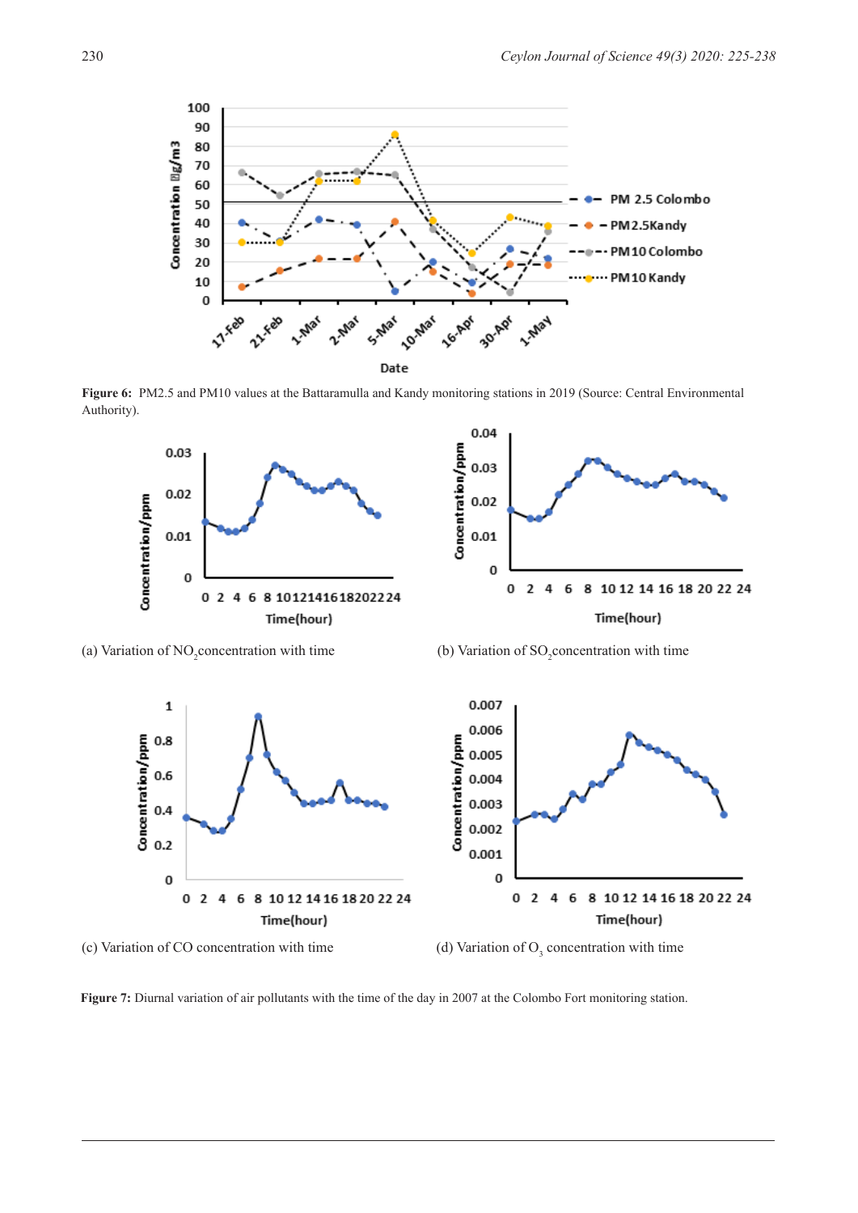

**Figure 6:** PM2.5 and PM10 values at the Battaramulla and Kandy monitoring stations in 2019 (Source: Central Environmental Authority).



(a) Variation of NO<sub>2</sub> concentration with time (b) Variation of  $SO_2$ 

(b) Variation of  $SO_2$  concentration with time



(c) Variation of CO concentration with time

(d) Variation of  $O<sub>3</sub>$  concentration with time

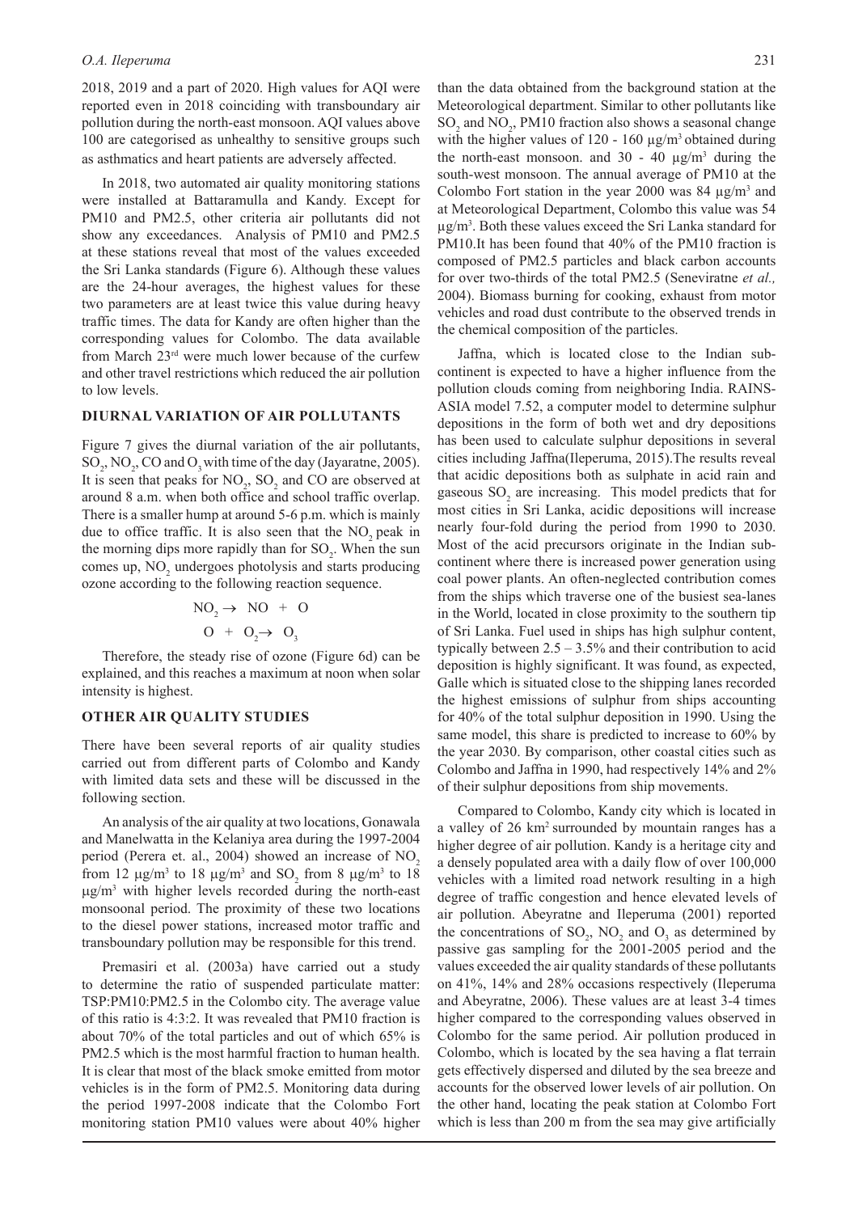2018, 2019 and a part of 2020. High values for AQI were reported even in 2018 coinciding with transboundary air pollution during the north-east monsoon. AQI values above 100 are categorised as unhealthy to sensitive groups such as asthmatics and heart patients are adversely affected.

In 2018, two automated air quality monitoring stations were installed at Battaramulla and Kandy. Except for PM10 and PM2.5, other criteria air pollutants did not show any exceedances. Analysis of PM10 and PM2.5 at these stations reveal that most of the values exceeded the Sri Lanka standards (Figure 6). Although these values are the 24-hour averages, the highest values for these two parameters are at least twice this value during heavy traffic times. The data for Kandy are often higher than the corresponding values for Colombo. The data available from March 23rd were much lower because of the curfew and other travel restrictions which reduced the air pollution to low levels.

#### **DIURNAL VARIATION OF AIR POLLUTANTS**

Figure 7 gives the diurnal variation of the air pollutants,  $SO_2$ , NO<sub>2</sub>, CO and O<sub>3</sub> with time of the day (Jayaratne, 2005). It is seen that peaks for  $NO_2$ ,  $SO_2$  and CO are observed at around 8 a.m. when both office and school traffic overlap. There is a smaller hump at around 5-6 p.m. which is mainly due to office traffic. It is also seen that the  $NO<sub>2</sub>$  peak in the morning dips more rapidly than for  $SO_2$ . When the sun comes up,  $NO<sub>2</sub>$  undergoes photolysis and starts producing ozone according to the following reaction sequence.

$$
NO2 \rightarrow NO + O
$$
  

$$
O + O2 \rightarrow O3
$$

Therefore, the steady rise of ozone (Figure 6d) can be explained, and this reaches a maximum at noon when solar intensity is highest.

## **OTHER AIR QUALITY STUDIES**

There have been several reports of air quality studies carried out from different parts of Colombo and Kandy with limited data sets and these will be discussed in the following section.

An analysis of the air quality at two locations, Gonawala and Manelwatta in the Kelaniya area during the 1997-2004 period (Perera et. al., 2004) showed an increase of  $NO<sub>2</sub>$ from 12  $\mu$ g/m<sup>3</sup> to 18  $\mu$ g/m<sup>3</sup> and SO<sub>2</sub> from 8  $\mu$ g/m<sup>3</sup> to 18 µg/m3 with higher levels recorded during the north-east monsoonal period. The proximity of these two locations to the diesel power stations, increased motor traffic and transboundary pollution may be responsible for this trend.

Premasiri et al. (2003a) have carried out a study to determine the ratio of suspended particulate matter: TSP:PM10:PM2.5 in the Colombo city. The average value of this ratio is 4:3:2. It was revealed that PM10 fraction is about 70% of the total particles and out of which 65% is PM2.5 which is the most harmful fraction to human health. It is clear that most of the black smoke emitted from motor vehicles is in the form of PM2.5. Monitoring data during the period 1997-2008 indicate that the Colombo Fort monitoring station PM10 values were about 40% higher

than the data obtained from the background station at the Meteorological department. Similar to other pollutants like  $\text{SO}_2$  and  $\text{NO}_2$ , PM10 fraction also shows a seasonal change with the higher values of 120 - 160  $\mu$ g/m<sup>3</sup> obtained during the north-east monsoon. and  $30 - 40 \mu g/m^3$  during the south-west monsoon. The annual average of PM10 at the Colombo Fort station in the year 2000 was 84  $\mu$ g/m<sup>3</sup> and at Meteorological Department, Colombo this value was 54  $\mu$ g/m<sup>3</sup>. Both these values exceed the Sri Lanka standard for PM10.It has been found that 40% of the PM10 fraction is composed of PM2.5 particles and black carbon accounts for over two-thirds of the total PM2.5 (Seneviratne *et al.,* 2004). Biomass burning for cooking, exhaust from motor vehicles and road dust contribute to the observed trends in the chemical composition of the particles.

Jaffna, which is located close to the Indian subcontinent is expected to have a higher influence from the pollution clouds coming from neighboring India. RAINS-ASIA model 7.52, a computer model to determine sulphur depositions in the form of both wet and dry depositions has been used to calculate sulphur depositions in several cities including Jaffna(Ileperuma, 2015).The results reveal that acidic depositions both as sulphate in acid rain and gaseous  $SO_2$  are increasing. This model predicts that for most cities in Sri Lanka, acidic depositions will increase nearly four-fold during the period from 1990 to 2030. Most of the acid precursors originate in the Indian subcontinent where there is increased power generation using coal power plants. An often-neglected contribution comes from the ships which traverse one of the busiest sea-lanes in the World, located in close proximity to the southern tip of Sri Lanka. Fuel used in ships has high sulphur content, typically between  $2.5 - 3.5\%$  and their contribution to acid deposition is highly significant. It was found, as expected, Galle which is situated close to the shipping lanes recorded the highest emissions of sulphur from ships accounting for 40% of the total sulphur deposition in 1990. Using the same model, this share is predicted to increase to 60% by the year 2030. By comparison, other coastal cities such as Colombo and Jaffna in 1990, had respectively 14% and 2% of their sulphur depositions from ship movements.

Compared to Colombo, Kandy city which is located in a valley of 26 km2 surrounded by mountain ranges has a higher degree of air pollution. Kandy is a heritage city and a densely populated area with a daily flow of over 100,000 vehicles with a limited road network resulting in a high degree of traffic congestion and hence elevated levels of air pollution. Abeyratne and Ileperuma (2001) reported the concentrations of  $SO_2$ ,  $NO_2$  and  $O_3$  as determined by passive gas sampling for the 2001-2005 period and the values exceeded the air quality standards of these pollutants on 41%, 14% and 28% occasions respectively (Ileperuma and Abeyratne, 2006). These values are at least 3-4 times higher compared to the corresponding values observed in Colombo for the same period. Air pollution produced in Colombo, which is located by the sea having a flat terrain gets effectively dispersed and diluted by the sea breeze and accounts for the observed lower levels of air pollution. On the other hand, locating the peak station at Colombo Fort which is less than 200 m from the sea may give artificially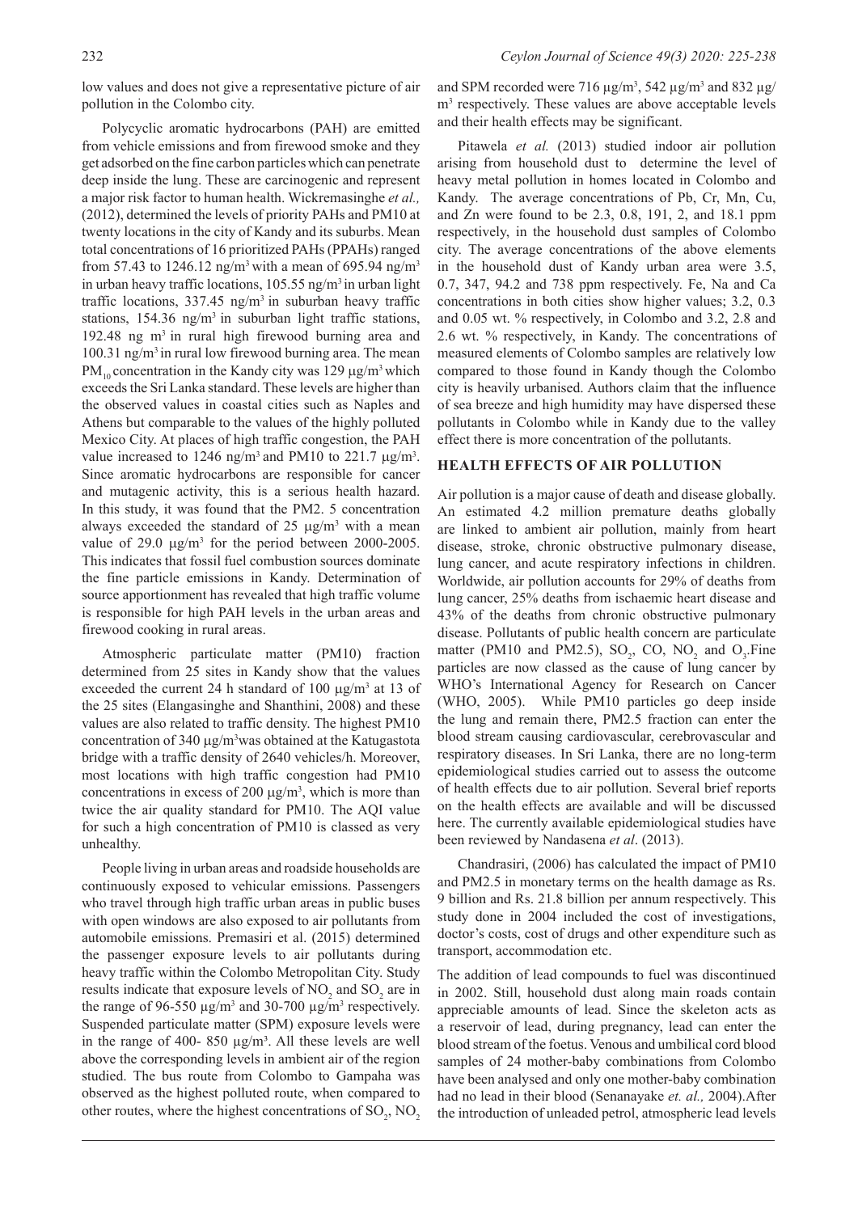low values and does not give a representative picture of air pollution in the Colombo city.

Polycyclic aromatic hydrocarbons (PAH) are emitted from vehicle emissions and from firewood smoke and they get adsorbed on the fine carbon particles which can penetrate deep inside the lung. These are carcinogenic and represent a major risk factor to human health. Wickremasinghe *et al.,* (2012), determined the levels of priority PAHs and PM10 at twenty locations in the city of Kandy and its suburbs. Mean total concentrations of 16 prioritized PAHs (PPAHs) ranged from 57.43 to 1246.12 ng/m<sup>3</sup> with a mean of 695.94 ng/m<sup>3</sup> in urban heavy traffic locations,  $105.55$  ng/m<sup>3</sup> in urban light traffic locations,  $337.45$  ng/m<sup>3</sup> in suburban heavy traffic stations,  $154.36$  ng/m<sup>3</sup> in suburban light traffic stations, 192.48 ng  $m<sup>3</sup>$  in rural high firewood burning area and 100.31 ng/m3 in rural low firewood burning area. The mean PM<sub>10</sub> concentration in the Kandy city was 129  $\mu$ g/m<sup>3</sup> which exceeds the Sri Lanka standard. These levels are higher than the observed values in coastal cities such as Naples and Athens but comparable to the values of the highly polluted Mexico City. At places of high traffic congestion, the PAH value increased to 1246 ng/m<sup>3</sup> and PM10 to 221.7  $\mu$ g/m<sup>3</sup>. Since aromatic hydrocarbons are responsible for cancer and mutagenic activity, this is a serious health hazard. In this study, it was found that the PM2. 5 concentration always exceeded the standard of  $25 \mu g/m^3$  with a mean value of 29.0  $\mu$ g/m<sup>3</sup> for the period between 2000-2005. This indicates that fossil fuel combustion sources dominate the fine particle emissions in Kandy. Determination of source apportionment has revealed that high traffic volume is responsible for high PAH levels in the urban areas and firewood cooking in rural areas.

Atmospheric particulate matter (PM10) fraction determined from 25 sites in Kandy show that the values exceeded the current 24 h standard of  $100 \mu g/m^3$  at 13 of the 25 sites (Elangasinghe and Shanthini, 2008) and these values are also related to traffic density. The highest PM10 concentration of  $340 \mu g/m<sup>3</sup>$  was obtained at the Katugastota bridge with a traffic density of 2640 vehicles/h. Moreover, most locations with high traffic congestion had PM10 concentrations in excess of 200  $\mu$ g/m<sup>3</sup>, which is more than twice the air quality standard for PM10. The AQI value for such a high concentration of PM10 is classed as very unhealthy.

People living in urban areas and roadside households are continuously exposed to vehicular emissions. Passengers who travel through high traffic urban areas in public buses with open windows are also exposed to air pollutants from automobile emissions. Premasiri et al. (2015) determined the passenger exposure levels to air pollutants during heavy traffic within the Colombo Metropolitan City. Study results indicate that exposure levels of  $NO_2$  and  $SO_2$  are in the range of 96-550  $\mu$ g/m<sup>3</sup> and 30-700  $\mu$ g/m<sup>3</sup> respectively. Suspended particulate matter (SPM) exposure levels were in the range of 400- 850  $\mu$ g/m<sup>3</sup>. All these levels are well above the corresponding levels in ambient air of the region studied. The bus route from Colombo to Gampaha was observed as the highest polluted route, when compared to other routes, where the highest concentrations of  $\text{SO}_2$ ,  $\text{NO}_2$ 

and SPM recorded were 716  $\mu$ g/m<sup>3</sup>, 542  $\mu$ g/m<sup>3</sup> and 832  $\mu$ g/ m<sup>3</sup> respectively. These values are above acceptable levels and their health effects may be significant.

Pitawela *et al.* (2013) studied indoor air pollution arising from household dust to determine the level of heavy metal pollution in homes located in Colombo and Kandy. The average concentrations of Pb, Cr, Mn, Cu, and Zn were found to be 2.3, 0.8, 191, 2, and 18.1 ppm respectively, in the household dust samples of Colombo city. The average concentrations of the above elements in the household dust of Kandy urban area were 3.5, 0.7, 347, 94.2 and 738 ppm respectively. Fe, Na and Ca concentrations in both cities show higher values; 3.2, 0.3 and 0.05 wt. % respectively, in Colombo and 3.2, 2.8 and 2.6 wt. % respectively, in Kandy. The concentrations of measured elements of Colombo samples are relatively low compared to those found in Kandy though the Colombo city is heavily urbanised. Authors claim that the influence of sea breeze and high humidity may have dispersed these pollutants in Colombo while in Kandy due to the valley effect there is more concentration of the pollutants.

#### **HEALTH EFFECTS OF AIR POLLUTION**

Air pollution is a major cause of death and disease globally. An estimated 4.2 million premature deaths globally are linked to ambient air pollution, mainly from heart disease, stroke, chronic obstructive pulmonary disease, lung cancer, and acute respiratory infections in children. Worldwide, air pollution accounts for 29% of deaths from lung cancer, 25% deaths from ischaemic heart disease and 43% of the deaths from chronic obstructive pulmonary disease. Pollutants of public health concern are particulate matter (PM10 and PM2.5),  $SO_2$ , CO, NO<sub>2</sub> and  $O_3$ . Fine particles are now classed as the cause of lung cancer by WHO's International Agency for Research on Cancer (WHO, 2005). While PM10 particles go deep inside the lung and remain there, PM2.5 fraction can enter the blood stream causing cardiovascular, cerebrovascular and respiratory diseases. In Sri Lanka, there are no long-term epidemiological studies carried out to assess the outcome of health effects due to air pollution. Several brief reports on the health effects are available and will be discussed here. The currently available epidemiological studies have been reviewed by Nandasena *et al*. (2013).

Chandrasiri, (2006) has calculated the impact of PM10 and PM2.5 in monetary terms on the health damage as Rs. 9 billion and Rs. 21.8 billion per annum respectively. This study done in 2004 included the cost of investigations, doctor's costs, cost of drugs and other expenditure such as transport, accommodation etc.

The addition of lead compounds to fuel was discontinued in 2002. Still, household dust along main roads contain appreciable amounts of lead. Since the skeleton acts as a reservoir of lead, during pregnancy, lead can enter the blood stream of the foetus. Venous and umbilical cord blood samples of 24 mother-baby combinations from Colombo have been analysed and only one mother-baby combination had no lead in their blood (Senanayake *et. al.,* 2004).After the introduction of unleaded petrol, atmospheric lead levels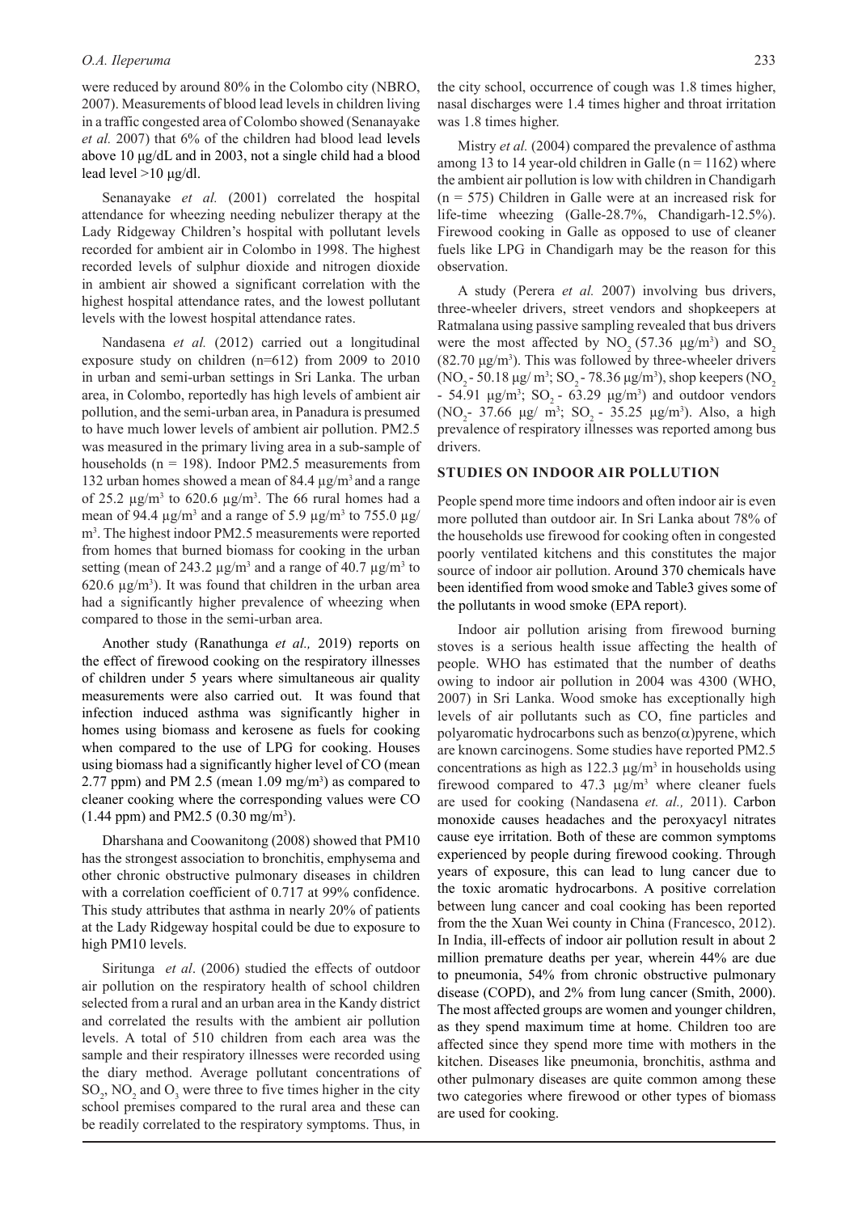#### *O.A. Ileperuma* 233

were reduced by around 80% in the Colombo city (NBRO, 2007). Measurements of blood lead levels in children living in a traffic congested area of Colombo showed (Senanayake *et al.* 2007) that 6% of the children had blood lead levels above 10 μg/dL and in 2003, not a single child had a blood lead level >10 μg/dl.

Senanayake *et al.* (2001) correlated the hospital attendance for wheezing needing nebulizer therapy at the Lady Ridgeway Children's hospital with pollutant levels recorded for ambient air in Colombo in 1998. The highest recorded levels of sulphur dioxide and nitrogen dioxide in ambient air showed a significant correlation with the highest hospital attendance rates, and the lowest pollutant levels with the lowest hospital attendance rates.

Nandasena *et al.* (2012) carried out a longitudinal exposure study on children (n=612) from 2009 to 2010 in urban and semi-urban settings in Sri Lanka. The urban area, in Colombo, reportedly has high levels of ambient air pollution, and the semi-urban area, in Panadura is presumed to have much lower levels of ambient air pollution. PM2.5 was measured in the primary living area in a sub-sample of households ( $n = 198$ ). Indoor PM2.5 measurements from 132 urban homes showed a mean of 84.4  $\mu$ g/m<sup>3</sup> and a range of 25.2  $\mu$ g/m<sup>3</sup> to 620.6  $\mu$ g/m<sup>3</sup>. The 66 rural homes had a mean of 94.4  $\mu$ g/m<sup>3</sup> and a range of 5.9  $\mu$ g/m<sup>3</sup> to 755.0  $\mu$ g/ m3 . The highest indoor PM2.5 measurements were reported from homes that burned biomass for cooking in the urban setting (mean of 243.2  $\mu$ g/m<sup>3</sup> and a range of 40.7  $\mu$ g/m<sup>3</sup> to  $620.6 \,\mathrm{\mu g/m^3}$ ). It was found that children in the urban area had a significantly higher prevalence of wheezing when compared to those in the semi-urban area.

Another study (Ranathunga *et al.,* 2019) reports on the effect of firewood cooking on the respiratory illnesses of children under 5 years where simultaneous air quality measurements were also carried out. It was found that infection induced asthma was significantly higher in homes using biomass and kerosene as fuels for cooking when compared to the use of LPG for cooking. Houses using biomass had a significantly higher level of CO (mean 2.77 ppm) and PM 2.5 (mean  $1.09 \text{ mg/m}^3$ ) as compared to cleaner cooking where the corresponding values were CO  $(1.44$  ppm) and PM2.5  $(0.30 \text{ mg/m}^3)$ .

Dharshana and Coowanitong (2008) showed that PM10 has the strongest association to bronchitis, emphysema and other chronic obstructive pulmonary diseases in children with a correlation coefficient of 0.717 at 99% confidence. This study attributes that asthma in nearly 20% of patients at the Lady Ridgeway hospital could be due to exposure to high PM10 levels.

Siritunga *et al*. (2006) studied the effects of outdoor air pollution on the respiratory health of school children selected from a rural and an urban area in the Kandy district and correlated the results with the ambient air pollution levels. A total of 510 children from each area was the sample and their respiratory illnesses were recorded using the diary method. Average pollutant concentrations of  $SO_2$ , NO<sub>2</sub> and O<sub>3</sub> were three to five times higher in the city school premises compared to the rural area and these can be readily correlated to the respiratory symptoms. Thus, in

the city school, occurrence of cough was 1.8 times higher, nasal discharges were 1.4 times higher and throat irritation was 1.8 times higher.

Mistry *et al.* (2004) compared the prevalence of asthma among 13 to 14 year-old children in Galle ( $n = 1162$ ) where the ambient air pollution is low with children in Chandigarh  $(n = 575)$  Children in Galle were at an increased risk for life-time wheezing (Galle-28.7%, Chandigarh-12.5%). Firewood cooking in Galle as opposed to use of cleaner fuels like LPG in Chandigarh may be the reason for this observation.

A study (Perera *et al.* 2007) involving bus drivers, three-wheeler drivers, street vendors and shopkeepers at Ratmalana using passive sampling revealed that bus drivers were the most affected by  $NO_2 (57.36 \text{ µg/m}^3)$  and  $SO_2$  $(82.70 \text{ µg/m}^3)$ . This was followed by three-wheeler drivers (NO<sub>2</sub> - 50.18 µg/ m<sup>3</sup>; SO<sub>2</sub> - 78.36 µg/m<sup>3</sup>), shop keepers (NO<sub>2</sub>) - 54.91 μg/m<sup>3</sup>; SO<sub>2</sub> - 63.29 μg/m<sup>3</sup>) and outdoor vendors (NO<sub>2</sub>- 37.66  $\mu$ g/ m<sup>3</sup>; SO<sub>2</sub>- 35.25  $\mu$ g/m<sup>3</sup>). Also, a high prevalence of respiratory illnesses was reported among bus drivers.

#### **STUDIES ON INDOOR AIR POLLUTION**

People spend more time indoors and often indoor air is even more polluted than outdoor air. In Sri Lanka about 78% of the households use firewood for cooking often in congested poorly ventilated kitchens and this constitutes the major source of indoor air pollution. Around 370 chemicals have been identified from wood smoke and Table3 gives some of the pollutants in wood smoke (EPA report).

Indoor air pollution arising from firewood burning stoves is a serious health issue affecting the health of people. WHO has estimated that the number of deaths owing to indoor air pollution in 2004 was 4300 (WHO, 2007) in Sri Lanka. Wood smoke has exceptionally high levels of air pollutants such as CO, fine particles and polyaromatic hydrocarbons such as  $benzo(\alpha)$  pyrene, which are known carcinogens. Some studies have reported PM2.5 concentrations as high as  $122.3 \mu g/m^3$  in households using firewood compared to  $47.3 \mu g/m^3$  where cleaner fuels are used for cooking (Nandasena *et. al.,* 2011). Carbon monoxide causes headaches and the peroxyacyl nitrates cause eye irritation. Both of these are common symptoms experienced by people during firewood cooking. Through years of exposure, this can lead to lung cancer due to the toxic aromatic hydrocarbons. A positive correlation between lung cancer and coal cooking has been reported from the the Xuan Wei county in China (Francesco, 2012). In India, ill-effects of indoor air pollution result in about 2 million premature deaths per year, wherein 44% are due to pneumonia, 54% from chronic obstructive pulmonary disease (COPD), and 2% from lung cancer (Smith, 2000). The most affected groups are women and younger children, as they spend maximum time at home. Children too are affected since they spend more time with mothers in the kitchen. Diseases like pneumonia, bronchitis, asthma and other pulmonary diseases are quite common among these two categories where firewood or other types of biomass are used for cooking.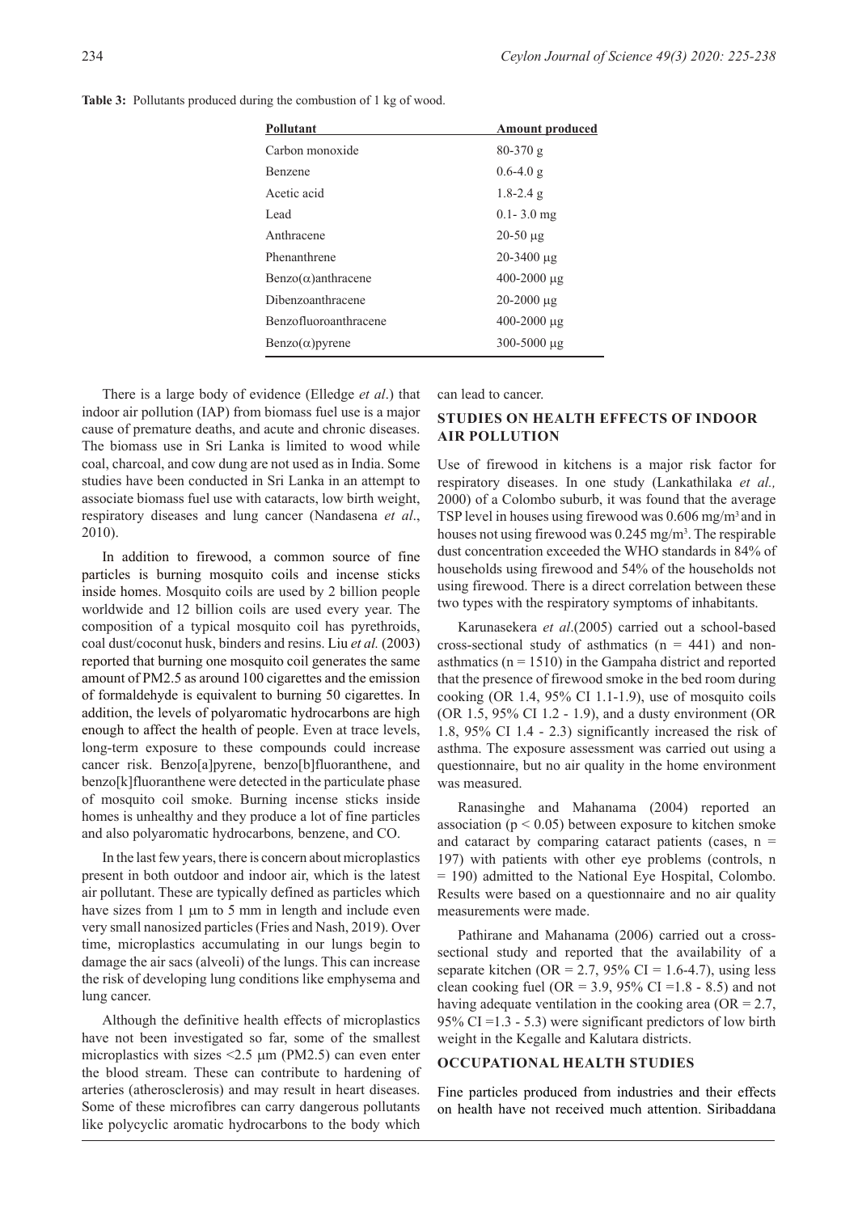Table 3: Pollutants produced during the combustion of 1 kg of wood.

| Pollutant                     | <b>Amount produced</b> |
|-------------------------------|------------------------|
| Carbon monoxide               | $80 - 370g$            |
| <b>Benzene</b>                | $0.6 - 4.0 g$          |
| Acetic acid                   | $1.8 - 2.4$ g          |
| Lead                          | $0.1 - 3.0$ mg         |
| Anthracene                    | $20-50 \mu g$          |
| Phenanthrene                  | $20 - 3400$ ug         |
| $Benzo(\alpha)$ anthracene    | $400 - 2000 \mu g$     |
| Dibenzoanthracene             | $20 - 2000$ ug         |
| Benzofluoroanthracene         | $400 - 2000 \mu g$     |
| $\text{Benzo}(\alpha)$ pyrene | 300-5000 µg            |

There is a large body of evidence (Elledge *et al*.) that indoor air pollution (IAP) from biomass fuel use is a major cause of premature deaths, and acute and chronic diseases. The biomass use in Sri Lanka is limited to wood while coal, charcoal, and cow dung are not used as in India. Some studies have been conducted in Sri Lanka in an attempt to associate biomass fuel use with cataracts, low birth weight, respiratory diseases and lung cancer (Nandasena *et al*., 2010).

In addition to firewood, a common source of fine particles is burning mosquito coils and incense sticks inside homes. Mosquito coils are used by 2 billion people worldwide and 12 billion coils are used every year. The composition of a typical mosquito coil has pyrethroids, coal dust/coconut husk, binders and resins. Liu *et al.* (2003) reported that burning one mosquito coil generates the same amount of PM2.5 as around 100 cigarettes and the emission of formaldehyde is equivalent to burning 50 cigarettes. In addition, the levels of polyaromatic hydrocarbons are high enough to affect the health of people. Even at trace levels, long-term exposure to these compounds could increase cancer risk. Benzo[a]pyrene, benzo[b]fluoranthene, and benzo[k]fluoranthene were detected in the particulate phase of mosquito coil smoke. Burning incense sticks inside homes is unhealthy and they produce a lot of fine particles and also polyaromatic hydrocarbons*,* benzene, and CO.

In the last few years, there is concern about microplastics present in both outdoor and indoor air, which is the latest air pollutant. These are typically defined as particles which have sizes from 1 μm to 5 mm in length and include even very small nanosized particles (Fries and Nash, 2019). Over time, microplastics accumulating in our lungs begin to damage the air sacs (alveoli) of the lungs. This can increase the risk of developing lung conditions like emphysema and lung cancer.

Although the definitive health effects of microplastics have not been investigated so far, some of the smallest microplastics with sizes  $\leq$ 2.5  $\mu$ m (PM2.5) can even enter the blood stream. These can contribute to hardening of arteries (atherosclerosis) and may result in heart diseases. Some of these microfibres can carry dangerous pollutants like polycyclic aromatic hydrocarbons to the body which

can lead to cancer.

## **STUDIES ON HEALTH EFFECTS OF INDOOR AIR POLLUTION**

Use of firewood in kitchens is a major risk factor for respiratory diseases. In one study (Lankathilaka *et al.,* 2000) of a Colombo suburb, it was found that the average TSP level in houses using firewood was 0.606 mg/m3 and in houses not using firewood was 0.245 mg/m<sup>3</sup>. The respirable dust concentration exceeded the WHO standards in 84% of households using firewood and 54% of the households not using firewood. There is a direct correlation between these two types with the respiratory symptoms of inhabitants.

Karunasekera *et al*.(2005) carried out a school-based cross-sectional study of asthmatics  $(n = 441)$  and nonasthmatics ( $n = 1510$ ) in the Gampaha district and reported that the presence of firewood smoke in the bed room during cooking (OR 1.4, 95% CI 1.1-1.9), use of mosquito coils (OR 1.5, 95% CI 1.2 - 1.9), and a dusty environment (OR 1.8, 95% CI 1.4 - 2.3) significantly increased the risk of asthma. The exposure assessment was carried out using a questionnaire, but no air quality in the home environment was measured.

Ranasinghe and Mahanama (2004) reported an association ( $p < 0.05$ ) between exposure to kitchen smoke and cataract by comparing cataract patients (cases,  $n =$ 197) with patients with other eye problems (controls, n = 190) admitted to the National Eye Hospital, Colombo. Results were based on a questionnaire and no air quality measurements were made.

Pathirane and Mahanama (2006) carried out a crosssectional study and reported that the availability of a separate kitchen (OR = 2.7, 95% CI = 1.6-4.7), using less clean cooking fuel (OR = 3.9, 95% CI = 1.8 - 8.5) and not having adequate ventilation in the cooking area ( $OR = 2.7$ , 95% CI =  $1.3 - 5.3$ ) were significant predictors of low birth weight in the Kegalle and Kalutara districts.

## **OCCUPATIONAL HEALTH STUDIES**

Fine particles produced from industries and their effects on health have not received much attention. Siribaddana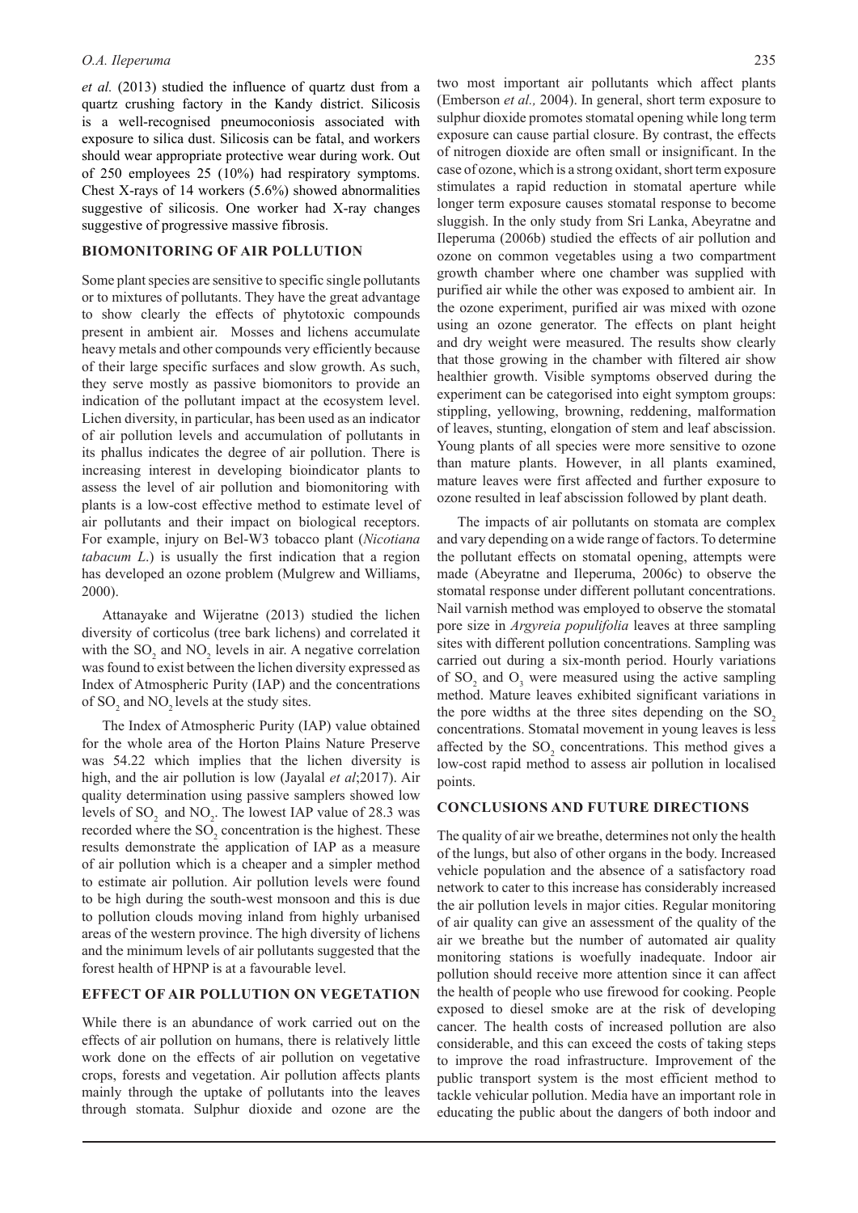*et al.* (2013) studied the influence of quartz dust from a quartz crushing factory in the Kandy district. Silicosis is a well-recognised pneumoconiosis associated with exposure to silica dust. Silicosis can be fatal, and workers should wear appropriate protective wear during work. Out of 250 employees 25 (10%) had respiratory symptoms. Chest X-rays of 14 workers (5.6%) showed abnormalities suggestive of silicosis. One worker had X-ray changes suggestive of progressive massive fibrosis.

## **BIOMONITORING OF AIR POLLUTION**

Some plant species are sensitive to specific single pollutants or to mixtures of pollutants. They have the great advantage to show clearly the effects of phytotoxic compounds present in ambient air. Mosses and lichens accumulate heavy metals and other compounds very efficiently because of their large specific surfaces and slow growth. As such, they serve mostly as passive biomonitors to provide an indication of the pollutant impact at the ecosystem level. Lichen diversity, in particular, has been used as an indicator of air pollution levels and accumulation of pollutants in its phallus indicates the degree of air pollution. There is increasing interest in developing bioindicator plants to assess the level of air pollution and biomonitoring with plants is a low-cost effective method to estimate level of air pollutants and their impact on biological receptors. For example, injury on Bel-W3 tobacco plant (*Nicotiana tabacum L*.) is usually the first indication that a region has developed an ozone problem (Mulgrew and Williams, 2000).

Attanayake and Wijeratne (2013) studied the lichen diversity of corticolus (tree bark lichens) and correlated it with the  $SO_2$  and  $NO_2$  levels in air. A negative correlation was found to exist between the lichen diversity expressed as Index of Atmospheric Purity (IAP) and the concentrations of  $SO_2$  and  $NO_2$  levels at the study sites.

The Index of Atmospheric Purity (IAP) value obtained for the whole area of the Horton Plains Nature Preserve was 54.22 which implies that the lichen diversity is high, and the air pollution is low (Jayalal *et al*;2017). Air quality determination using passive samplers showed low levels of  $SO_2$  and  $NO_2$ . The lowest IAP value of 28.3 was recorded where the  $SO_2$  concentration is the highest. These results demonstrate the application of IAP as a measure of air pollution which is a cheaper and a simpler method to estimate air pollution. Air pollution levels were found to be high during the south-west monsoon and this is due to pollution clouds moving inland from highly urbanised areas of the western province. The high diversity of lichens and the minimum levels of air pollutants suggested that the forest health of HPNP is at a favourable level.

#### **EFFECT OF AIR POLLUTION ON VEGETATION**

While there is an abundance of work carried out on the effects of air pollution on humans, there is relatively little work done on the effects of air pollution on vegetative crops, forests and vegetation. Air pollution affects plants mainly through the uptake of pollutants into the leaves through stomata. Sulphur dioxide and ozone are the

two most important air pollutants which affect plants (Emberson *et al.,* 2004). In general, short term exposure to sulphur dioxide promotes stomatal opening while long term exposure can cause partial closure. By contrast, the effects of nitrogen dioxide are often small or insignificant. In the case of ozone, which is a strong oxidant, short term exposure stimulates a rapid reduction in stomatal aperture while longer term exposure causes stomatal response to become sluggish. In the only study from Sri Lanka, Abeyratne and Ileperuma (2006b) studied the effects of air pollution and ozone on common vegetables using a two compartment growth chamber where one chamber was supplied with purified air while the other was exposed to ambient air. In the ozone experiment, purified air was mixed with ozone using an ozone generator. The effects on plant height and dry weight were measured. The results show clearly that those growing in the chamber with filtered air show healthier growth. Visible symptoms observed during the experiment can be categorised into eight symptom groups: stippling, yellowing, browning, reddening, malformation of leaves, stunting, elongation of stem and leaf abscission. Young plants of all species were more sensitive to ozone than mature plants. However, in all plants examined, mature leaves were first affected and further exposure to ozone resulted in leaf abscission followed by plant death.

The impacts of air pollutants on stomata are complex and vary depending on a wide range of factors. To determine the pollutant effects on stomatal opening, attempts were made (Abeyratne and Ileperuma, 2006c) to observe the stomatal response under different pollutant concentrations. Nail varnish method was employed to observe the stomatal pore size in *Argyreia populifolia* leaves at three sampling sites with different pollution concentrations. Sampling was carried out during a six-month period. Hourly variations of  $SO_2$  and  $O_3$  were measured using the active sampling method. Mature leaves exhibited significant variations in the pore widths at the three sites depending on the SO<sub>2</sub> concentrations. Stomatal movement in young leaves is less affected by the  $SO_2$  concentrations. This method gives a low-cost rapid method to assess air pollution in localised points.

#### **CONCLUSIONS AND FUTURE DIRECTIONS**

The quality of air we breathe, determines not only the health of the lungs, but also of other organs in the body. Increased vehicle population and the absence of a satisfactory road network to cater to this increase has considerably increased the air pollution levels in major cities. Regular monitoring of air quality can give an assessment of the quality of the air we breathe but the number of automated air quality monitoring stations is woefully inadequate. Indoor air pollution should receive more attention since it can affect the health of people who use firewood for cooking. People exposed to diesel smoke are at the risk of developing cancer. The health costs of increased pollution are also considerable, and this can exceed the costs of taking steps to improve the road infrastructure. Improvement of the public transport system is the most efficient method to tackle vehicular pollution. Media have an important role in educating the public about the dangers of both indoor and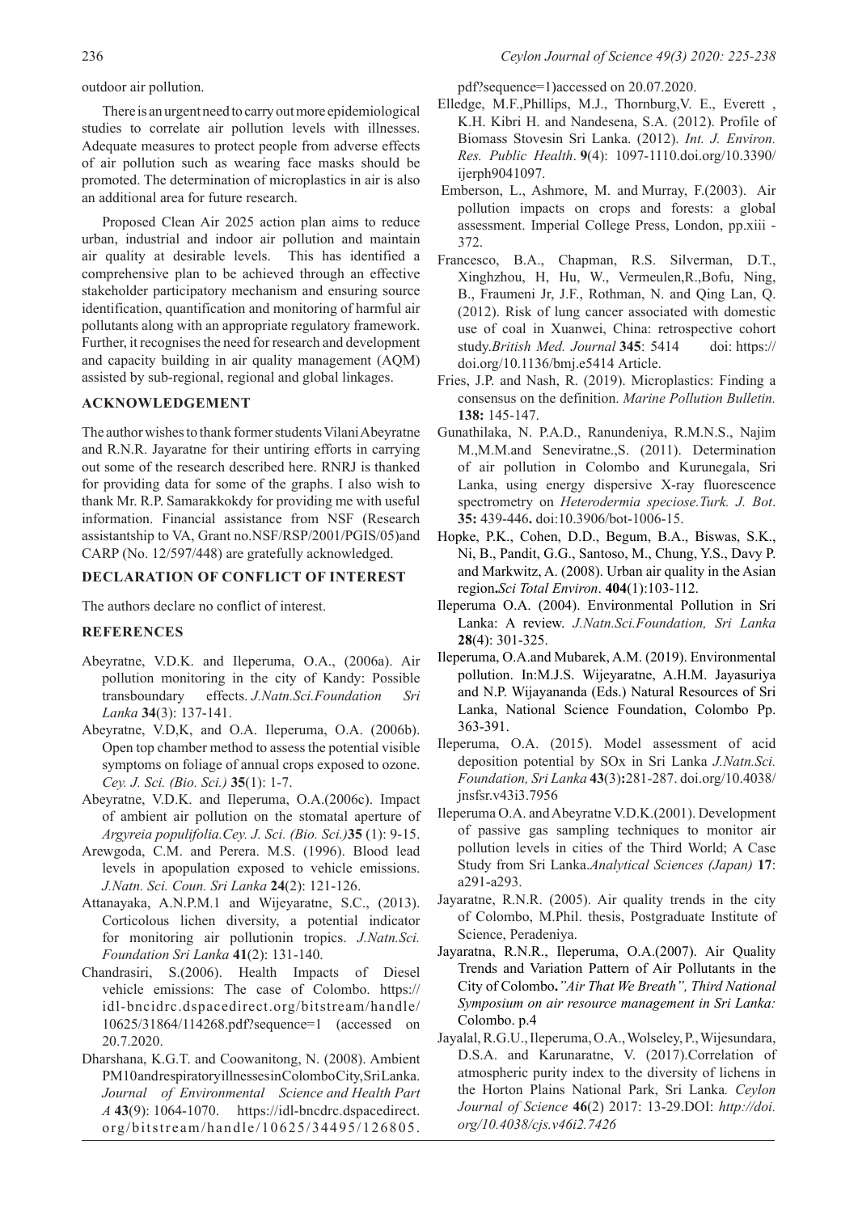outdoor air pollution.

There is an urgent need to carry out more epidemiological studies to correlate air pollution levels with illnesses. Adequate measures to protect people from adverse effects of air pollution such as wearing face masks should be promoted. The determination of microplastics in air is also an additional area for future research.

Proposed Clean Air 2025 action plan aims to reduce urban, industrial and indoor air pollution and maintain air quality at desirable levels. This has identified a comprehensive plan to be achieved through an effective stakeholder participatory mechanism and ensuring source identification, quantification and monitoring of harmful air pollutants along with an appropriate regulatory framework. Further, it recognises the need for research and development and capacity building in air quality management (AQM) assisted by sub-regional, regional and global linkages.

## **ACKNOWLEDGEMENT**

The author wishes to thank former students Vilani Abeyratne and R.N.R. Jayaratne for their untiring efforts in carrying out some of the research described here. RNRJ is thanked for providing data for some of the graphs. I also wish to thank Mr. R.P. Samarakkokdy for providing me with useful information. Financial assistance from NSF (Research assistantship to VA, Grant no.NSF/RSP/2001/PGIS/05)and CARP (No. 12/597/448) are gratefully acknowledged.

### **DECLARATION OF CONFLICT OF INTEREST**

The authors declare no conflict of interest.

### **REFERENCES**

- Abeyratne, V.D.K. and Ileperuma, O.A., (2006a). Air pollution monitoring in the city of Kandy: Possible transboundary effects. *J.Natn.Sci.Foundation Sri Lanka* **34**(3): 137-141.
- Abeyratne, V.D,K, and O.A. Ileperuma, O.A. (2006b). Open top chamber method to assess the potential visible symptoms on foliage of annual crops exposed to ozone. *Cey. J. Sci. (Bio. Sci.)* **35**(1): 1-7.
- Abeyratne, V.D.K. and Ileperuma, O.A.(2006c). Impact of ambient air pollution on the stomatal aperture of *Argyreia populifolia.Cey. J. Sci. (Bio. Sci.)***35** (1): 9-15.
- Arewgoda, C.M. and Perera. M.S. (1996). Blood lead levels in apopulation exposed to vehicle emissions. *J.Natn. Sci. Coun. Sri Lanka* **24**(2): 121-126.
- Attanayaka, A.N.P.M.1 and Wijeyaratne, S.C., (2013). Corticolous lichen diversity, a potential indicator for monitoring air pollutionin tropics. *J.Natn.Sci. Foundation Sri Lanka* **41**(2): 131-140.
- Chandrasiri, S.(2006). Health Impacts of Diesel vehicle emissions: The case of Colombo. https:// idl-bncidrc.dspacedirect.org/bitstream/handle/ 10625/31864/114268.pdf?sequence=1 (accessed on 20.7.2020.
- Dharshana, K.G.T. and Coowanitong, N. (2008). Ambient PM10 and respiratory illnesses in Colombo City, Sri Lanka. *Journal of Environmental Science and Health Part A* **43**(9): 1064-1070. https://idl-bncdrc.dspacedirect. org/bitstream/handle/10625/34495/126805.

pdf?sequence=1)accessed on 20.07.2020.

- Elledge, M.F.,Phillips, M.J., Thornburg,V. E., Everett , K.H. Kibri H. and Nandesena, S.A. (2012). Profile of Biomass Stovesin Sri Lanka. (2012). *Int. J. Environ. Res. Public Health*. **9**(4): 1097-1110.doi.org/10.3390/ ijerph9041097.
- Emberson, L., Ashmore, M. and Murray, F.(2003). Air pollution impacts on crops and forests: a global assessment. Imperial College Press, London, pp.xiii - 372.
- Francesco, B.A., Chapman, R.S. Silverman, D.T., Xinghzhou, H, Hu, W., Vermeulen,R.,Bofu, Ning, B., Fraumeni Jr, J.F., Rothman, N. and Qing Lan, Q. (2012). Risk of lung cancer associated with domestic use of coal in Xuanwei, China: retrospective cohort study.*British Med. Journal* **345**: 5414 doi: https:// doi.org/10.1136/bmj.e5414 Article.
- Fries, J.P. and Nash, R. (2019). Microplastics: Finding a consensus on the definition. *Marine Pollution Bulletin.*  **138:** 145-147.
- Gunathilaka, N. P.A.D., Ranundeniya, R.M.N.S., Najim M.,M.M.and Seneviratne.,S. (2011). Determination of air pollution in Colombo and Kurunegala, Sri Lanka, using energy dispersive X-ray fluorescence spectrometry on *Heterodermia speciose.Turk. J. Bot*. **35:** 439-446**.** doi:10.3906/bot-1006-15.
- Hopke, P.K., Cohen, D.D., Begum, B.A., Biswas, S.K., Ni, B., Pandit, G.G., Santoso, M., Chung, Y.S., Davy P. and Markwitz, A. (2008). Urban air quality in the Asian region**.***Sci Total Environ*. **404**(1):103-112.
- Ileperuma O.A. (2004). Environmental Pollution in Sri Lanka: A review. *J.Natn.Sci.Foundation, Sri Lanka*  **28**(4): 301-325.
- Ileperuma, O.A.and Mubarek, A.M. (2019). Environmental pollution. In:M.J.S. Wijeyaratne, A.H.M. Jayasuriya and N.P. Wijayananda (Eds.) Natural Resources of Sri Lanka, National Science Foundation, Colombo Pp. 363-391.
- Ileperuma, O.A. (2015). Model assessment of acid deposition potential by SOx in Sri Lanka *J.Natn.Sci. Foundation, Sri Lanka* **43**(3)**:**281-287. doi.org/10.4038/ jnsfsr.v43i3.7956
- Ileperuma O.A. and Abeyratne V.D.K.(2001). Development of passive gas sampling techniques to monitor air pollution levels in cities of the Third World; A Case Study from Sri Lanka.*Analytical Sciences (Japan)* **17**: a291-a293.
- Jayaratne, R.N.R. (2005). Air quality trends in the city of Colombo, M.Phil. thesis, Postgraduate Institute of Science, Peradeniya.
- Jayaratna, R.N.R., Ileperuma, O.A.(2007). Air Quality Trends and Variation Pattern of Air Pollutants in the City of Colombo**.***"Air That We Breath", Third National Symposium on air resource management in Sri Lanka:* Colombo. p.4
- Jayalal, R.G.U., Ileperuma, O.A., Wolseley, P., Wijesundara, D.S.A. and Karunaratne, V. (2017).Correlation of atmospheric purity index to the diversity of lichens in the Horton Plains National Park, Sri Lanka*. Ceylon Journal of Science* **46**(2) 2017: 13-29.DOI: *http://doi. org/10.4038/cjs.v46i2.7426*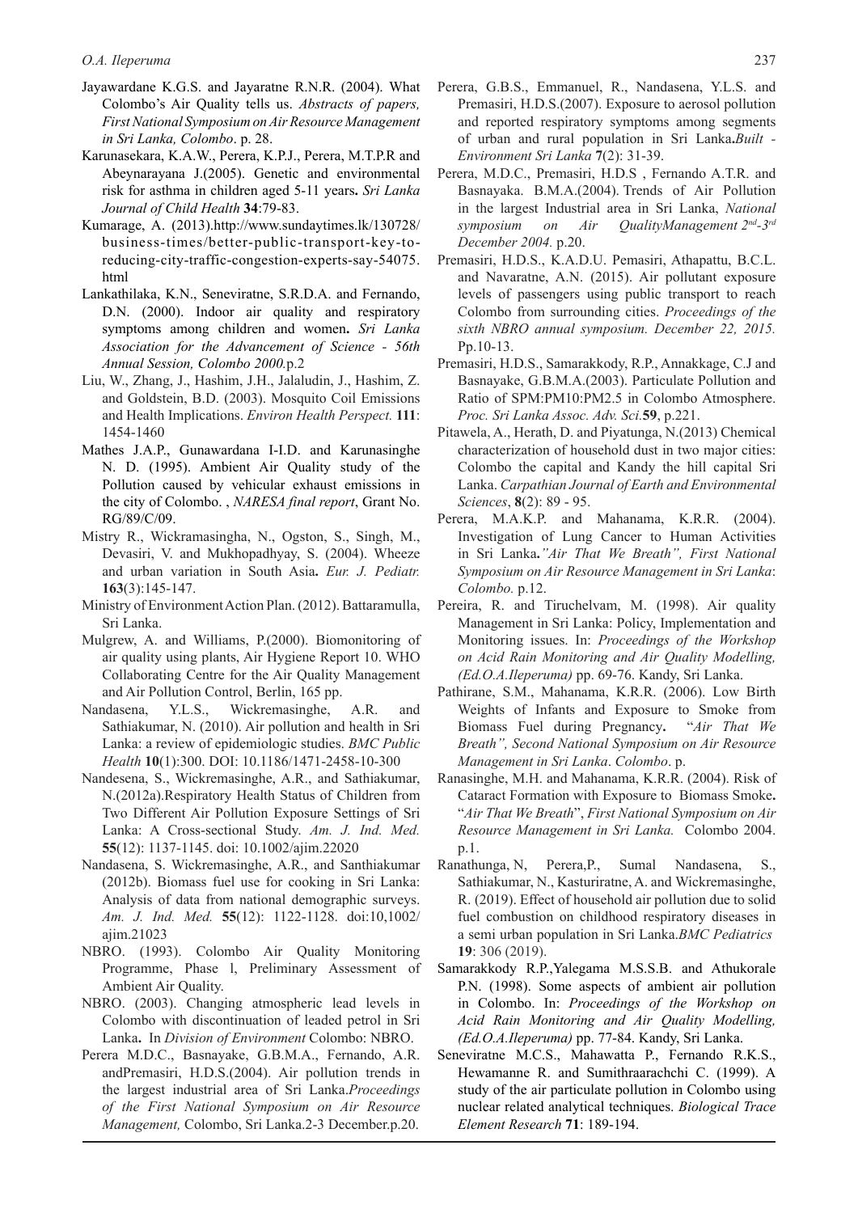- Jayawardane K.G.S. and Jayaratne R.N.R. (2004). What Colombo's Air Quality tells us. *Abstracts of papers, First National Symposium on Air Resource Management in Sri Lanka, Colombo*. p. 28.
- Karunasekara, K.A.W., Perera, K.P.J., Perera, M.T.P.R and Abeynarayana J.(2005). Genetic and environmental risk for asthma in children aged 5-11 years**.** *Sri Lanka Journal of Child Health* **34**:79-83.
- Kumarage, A. (2013).http://www.sundaytimes.lk/130728/ business-times/better-public-transport-key-toreducing-city-traffic-congestion-experts-say-54075. html
- Lankathilaka, K.N., Seneviratne, S.R.D.A. and Fernando, D.N. (2000). Indoor air quality and respiratory symptoms among children and women**.** *Sri Lanka Association for the Advancement of Science - 56th Annual Session, Colombo 2000.*p.2
- Liu, W., Zhang, J., Hashim, J.H., Jalaludin, J., Hashim, Z. and Goldstein, B.D. (2003). Mosquito Coil Emissions and Health Implications. *Environ Health Perspect.* **111**: 1454-1460
- Mathes J.A.P., Gunawardana I-I.D. and Karunasinghe N. D. (1995). Ambient Air Quality study of the Pollution caused by vehicular exhaust emissions in the city of Colombo. , *NARESA final report*, Grant No. RG/89/C/09.
- Mistry R., Wickramasingha, N., Ogston, S., Singh, M., Devasiri, V. and Mukhopadhyay, S. (2004). Wheeze and urban variation in South Asia**.** *Eur. J. Pediatr.*  **163**(3):145-147.
- Ministry of Environment Action Plan. (2012). Battaramulla, Sri Lanka.
- Mulgrew, A. and Williams, P.(2000). Biomonitoring of air quality using plants, Air Hygiene Report 10. WHO Collaborating Centre for the Air Quality Management and Air Pollution Control, Berlin, 165 pp.
- Nandasena, Y.L.S., Wickremasinghe, A.R. and Sathiakumar, N. (2010). Air pollution and health in Sri Lanka: a review of epidemiologic studies. *BMC Public Health* **10**(1):300. DOI: 10.1186/1471-2458-10-300
- Nandesena, S., Wickremasinghe, A.R., and Sathiakumar, N.(2012a).Respiratory Health Status of Children from Two Different Air Pollution Exposure Settings of Sri Lanka: A Cross-sectional Study. *Am. J. Ind. Med.*  **55**(12): 1137-1145. doi: 10.1002/ajim.22020
- Nandasena, S. Wickremasinghe, A.R., and Santhiakumar (2012b). Biomass fuel use for cooking in Sri Lanka: Analysis of data from national demographic surveys. *Am. J. Ind. Med.* **55**(12): 1122-1128. doi:10,1002/ ajim.21023
- NBRO. (1993). Colombo Air Quality Monitoring Programme, Phase l, Preliminary Assessment of Ambient Air Quality.
- NBRO. (2003). Changing atmospheric lead levels in Colombo with discontinuation of leaded petrol in Sri Lanka**.** In *Division of Environment* Colombo: NBRO.
- Perera M.D.C., Basnayake, G.B.M.A., Fernando, A.R. andPremasiri, H.D.S.(2004). Air pollution trends in the largest industrial area of Sri Lanka.*Proceedings of the First National Symposium on Air Resource Management,* Colombo, Sri Lanka.2-3 December.p.20.
- Perera, G.B.S., Emmanuel, R., Nandasena, Y.L.S. and Premasiri, H.D.S.(2007). Exposure to aerosol pollution and reported respiratory symptoms among segments of urban and rural population in Sri Lanka**.***Built - Environment Sri Lanka* **7**(2): 31-39.
- Perera, M.D.C., Premasiri, H.D.S , Fernando A.T.R. and Basnayaka. B.M.A.(2004). Trends of Air Pollution in the largest Industrial area in Sri Lanka, *National symposium on Air QualityManagement 2nd-3rd December 2004.* p.20.
- Premasiri, H.D.S., K.A.D.U. Pemasiri, Athapattu, B.C.L. and Navaratne, A.N. (2015). Air pollutant exposure levels of passengers using public transport to reach Colombo from surrounding cities. *Proceedings of the sixth NBRO annual symposium. December 22, 2015.*  Pp.10-13.
- Premasiri, H.D.S., Samarakkody, R.P., Annakkage, C.J and Basnayake, G.B.M.A.(2003). Particulate Pollution and Ratio of SPM:PM10:PM2.5 in Colombo Atmosphere. *Proc. Sri Lanka Assoc. Adv. Sci.***59**, p.221.
- Pitawela, A., Herath, D. and Piyatunga, N.(2013) Chemical characterization of household dust in two major cities: Colombo the capital and Kandy the hill capital Sri Lanka. *Carpathian Journal of Earth and Environmental Sciences*, **8**(2): 89 - 95.
- Perera, M.A.K.P. and Mahanama, K.R.R. (2004). Investigation of Lung Cancer to Human Activities in Sri Lanka**.***"Air That We Breath", First National Symposium on Air Resource Management in Sri Lanka*: *Colombo.* p.12.
- Pereira, R. and Tiruchelvam, M. (1998). Air quality Management in Sri Lanka: Policy, Implementation and Monitoring issues. In: *Proceedings of the Workshop on Acid Rain Monitoring and Air Quality Modelling, (Ed.O.A.Ileperuma)* pp. 69-76. Kandy, Sri Lanka.
- Pathirane, S.M., Mahanama, K.R.R. (2006). Low Birth Weights of Infants and Exposure to Smoke from Biomass Fuel during Pregnancy**.** "*Air That We Breath", Second National Symposium on Air Resource Management in Sri Lanka*. *Colombo*. p.
- Ranasinghe, M.H. and Mahanama, K.R.R. (2004). Risk of Cataract Formation with Exposure to Biomass Smoke**.** "*Air That We Breath*", *First National Symposium on Air Resource Management in Sri Lanka.* Colombo 2004. p.1.
- Ranathunga, N, Perera,P., Sumal Nandasena, S., Sathiakumar, N., Kasturiratne, A. and Wickremasinghe, R. (2019). Effect of household air pollution due to solid fuel combustion on childhood respiratory diseases in a semi urban population in Sri Lanka.*BMC Pediatrics* **19**: 306 (2019).
- Samarakkody R.P.,Yalegama M.S.S.B. and Athukorale P.N. (1998). Some aspects of ambient air pollution in Colombo. In: *Proceedings of the Workshop on Acid Rain Monitoring and Air Quality Modelling, (Ed.O.A.Ileperuma)* pp. 77-84. Kandy, Sri Lanka.
- Seneviratne M.C.S., Mahawatta P., Fernando R.K.S., Hewamanne R. and Sumithraarachchi C. (1999). A study of the air particulate pollution in Colombo using nuclear related analytical techniques. *Biological Trace Element Research* **71**: 189-194.